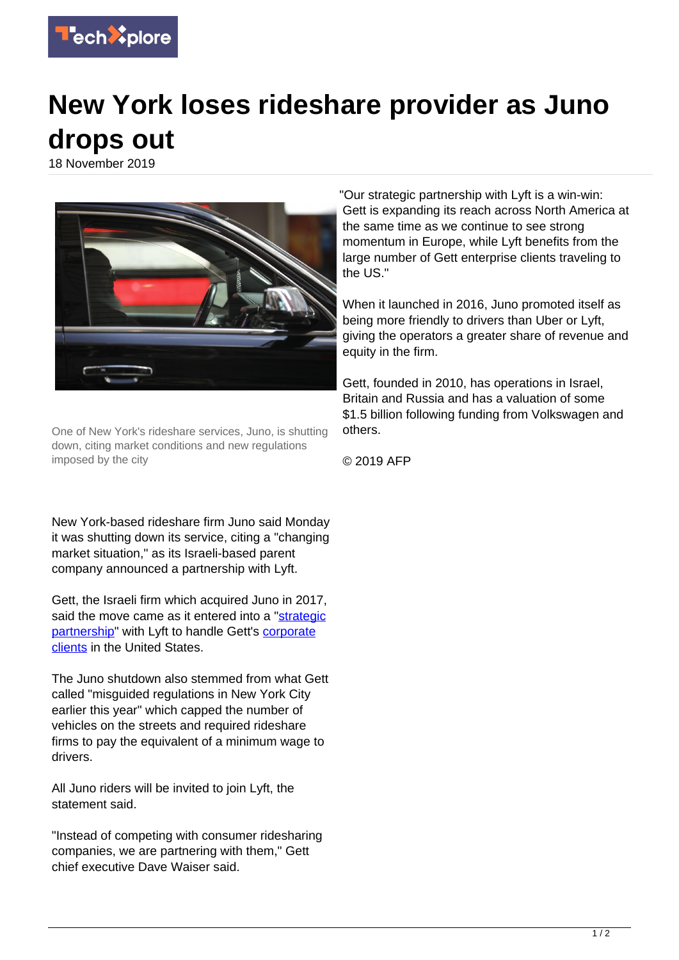

## **New York loses rideshare provider as Juno drops out**

18 November 2019



One of New York's rideshare services, Juno, is shutting down, citing market conditions and new regulations imposed by the city

New York-based rideshare firm Juno said Monday it was shutting down its service, citing a "changing market situation," as its Israeli-based parent company announced a partnership with Lyft.

Gett, the Israeli firm which acquired Juno in 2017, said the move came as it entered into a ["strategic](https://techxplore.com/tags/strategic+partnership/) [partnership](https://techxplore.com/tags/strategic+partnership/)" with Lyft to handle Gett's [corporate](https://techxplore.com/tags/corporate+clients/) [clients](https://techxplore.com/tags/corporate+clients/) in the United States.

The Juno shutdown also stemmed from what Gett called "misguided regulations in New York City earlier this year" which capped the number of vehicles on the streets and required rideshare firms to pay the equivalent of a minimum wage to drivers.

All Juno riders will be invited to join Lyft, the statement said.

"Instead of competing with consumer ridesharing companies, we are partnering with them," Gett chief executive Dave Waiser said.

"Our strategic partnership with Lyft is a win-win: Gett is expanding its reach across North America at the same time as we continue to see strong momentum in Europe, while Lyft benefits from the large number of Gett enterprise clients traveling to the US."

When it launched in 2016, Juno promoted itself as being more friendly to drivers than Uber or Lyft, giving the operators a greater share of revenue and equity in the firm.

Gett, founded in 2010, has operations in Israel, Britain and Russia and has a valuation of some \$1.5 billion following funding from Volkswagen and others.

© 2019 AFP